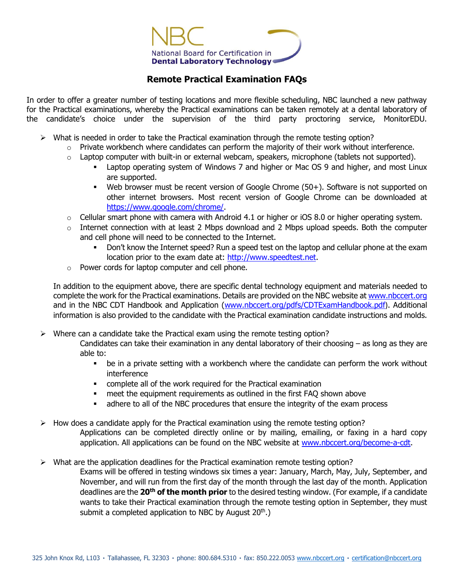

## **Remote Practical Examination FAQs**

In order to offer a greater number of testing locations and more flexible scheduling, NBC launched a new pathway for the Practical examinations, whereby the Practical examinations can be taken remotely at a dental laboratory of the candidate's choice under the supervision of the third party proctoring service, MonitorEDU.

- $\triangleright$  What is needed in order to take the Practical examination through the remote testing option?
	- $\circ$  Private workbench where candidates can perform the majority of their work without interference.
	- $\circ$  Laptop computer with built-in or external webcam, speakers, microphone (tablets not supported).
		- Laptop operating system of Windows 7 and higher or Mac OS 9 and higher, and most Linux are supported.
		- Web browser must be recent version of Google Chrome (50+). Software is not supported on other internet browsers. Most recent version of Google Chrome can be downloaded at [https://www.google.com/chrome/.](https://www.google.com/chrome/)
	- $\circ$  Cellular smart phone with camera with Android 4.1 or higher or iOS 8.0 or higher operating system.
	- $\circ$  Internet connection with at least 2 Mbps download and 2 Mbps upload speeds. Both the computer and cell phone will need to be connected to the Internet.
		- Don't know the Internet speed? Run a speed test on the laptop and cellular phone at the exam location prior to the exam date at: [http://www.speedtest.net.](http://www.speedtest.net/)
	- o Power cords for laptop computer and cell phone.

In addition to the equipment above, there are specific dental technology equipment and materials needed to complete the work for the Practical examinations. Details are provided on the NBC website at [www.nbccert.org](http://www.nbccert.org/) and in the NBC CDT Handbook and Application [\(www.nbccert.org/pdfs/CDTExamHandbook.pdf](http://www.nbccert.org/pdfs/CDTExamHandbook.pdf)). Additional information is also provided to the candidate with the Practical examination candidate instructions and molds.

 $\triangleright$  Where can a candidate take the Practical exam using the remote testing option?

Candidates can take their examination in any dental laboratory of their choosing – as long as they are able to:

- be in a private setting with a workbench where the candidate can perform the work without interference
- complete all of the work required for the Practical examination
- meet the equipment requirements as outlined in the first FAQ shown above
- adhere to all of the NBC procedures that ensure the integrity of the exam process
- $\triangleright$  How does a candidate apply for the Practical examination using the remote testing option? Applications can be completed directly online or by mailing, emailing, or faxing in a hard copy application. All applications can be found on the NBC website at [www.nbccert.org/become-a-cdt.](http://www.nbccert.org/become-a-cdt)
- $\triangleright$  What are the application deadlines for the Practical examination remote testing option? Exams will be offered in testing windows six times a year: January, March, May, July, September, and November, and will run from the first day of the month through the last day of the month. Application deadlines are the **20th of the month prior** to the desired testing window. (For example, if a candidate wants to take their Practical examination through the remote testing option in September, they must submit a completed application to NBC by August  $20<sup>th</sup>$ .)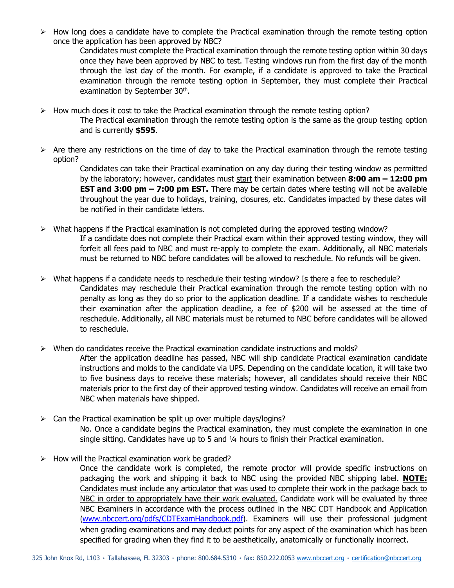$\triangleright$  How long does a candidate have to complete the Practical examination through the remote testing option once the application has been approved by NBC?

Candidates must complete the Practical examination through the remote testing option within 30 days once they have been approved by NBC to test. Testing windows run from the first day of the month through the last day of the month. For example, if a candidate is approved to take the Practical examination through the remote testing option in September, they must complete their Practical examination by September 30<sup>th</sup>.

- $\triangleright$  How much does it cost to take the Practical examination through the remote testing option?
	- The Practical examination through the remote testing option is the same as the group testing option and is currently **\$595**.
- $\triangleright$  Are there any restrictions on the time of day to take the Practical examination through the remote testing option?

Candidates can take their Practical examination on any day during their testing window as permitted by the laboratory; however, candidates must start their examination between **8:00 am – 12:00 pm EST and 3:00 pm – 7:00 pm EST.** There may be certain dates where testing will not be available throughout the year due to holidays, training, closures, etc. Candidates impacted by these dates will be notified in their candidate letters.

- $\triangleright$  What happens if the Practical examination is not completed during the approved testing window? If a candidate does not complete their Practical exam within their approved testing window, they will forfeit all fees paid to NBC and must re-apply to complete the exam. Additionally, all NBC materials must be returned to NBC before candidates will be allowed to reschedule. No refunds will be given.
- $\triangleright$  What happens if a candidate needs to reschedule their testing window? Is there a fee to reschedule? Candidates may reschedule their Practical examination through the remote testing option with no penalty as long as they do so prior to the application deadline. If a candidate wishes to reschedule their examination after the application deadline, a fee of \$200 will be assessed at the time of reschedule. Additionally, all NBC materials must be returned to NBC before candidates will be allowed to reschedule.
- $\triangleright$  When do candidates receive the Practical examination candidate instructions and molds?

After the application deadline has passed, NBC will ship candidate Practical examination candidate instructions and molds to the candidate via UPS. Depending on the candidate location, it will take two to five business days to receive these materials; however, all candidates should receive their NBC materials prior to the first day of their approved testing window. Candidates will receive an email from NBC when materials have shipped.

- $\triangleright$  Can the Practical examination be split up over multiple days/logins? No. Once a candidate begins the Practical examination, they must complete the examination in one single sitting. Candidates have up to 5 and ¼ hours to finish their Practical examination.
- $\triangleright$  How will the Practical examination work be graded?

Once the candidate work is completed, the remote proctor will provide specific instructions on packaging the work and shipping it back to NBC using the provided NBC shipping label. **NOTE:** Candidates must include any articulator that was used to complete their work in the package back to NBC in order to appropriately have their work evaluated. Candidate work will be evaluated by three NBC Examiners in accordance with the process outlined in the NBC CDT Handbook and Application ([www.nbccert.org/pdfs/CDTExamHandbook.pdf](http://www.nbccert.org/pdfs/CDTExamHandbook.pdf)). Examiners will use their professional judgment when grading examinations and may deduct points for any aspect of the examination which has been specified for grading when they find it to be aesthetically, anatomically or functionally incorrect.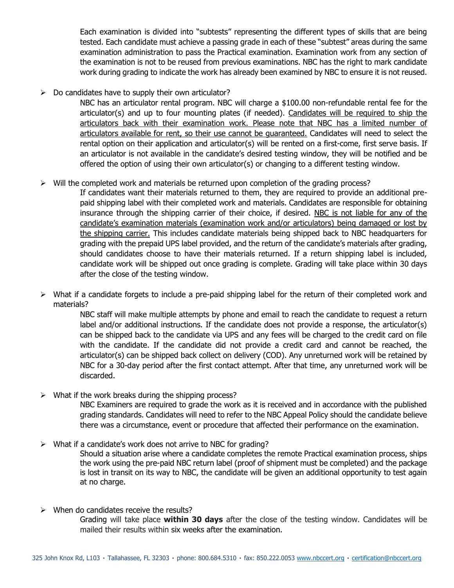Each examination is divided into "subtests" representing the different types of skills that are being tested. Each candidate must achieve a passing grade in each of these "subtest" areas during the same examination administration to pass the Practical examination. Examination work from any section of the examination is not to be reused from previous examinations. NBC has the right to mark candidate work during grading to indicate the work has already been examined by NBC to ensure it is not reused.

 $\triangleright$  Do candidates have to supply their own articulator?

NBC has an articulator rental program. NBC will charge a \$100.00 non-refundable rental fee for the articulator(s) and up to four mounting plates (if needed). Candidates will be required to ship the articulators back with their examination work. Please note that NBC has a limited number of articulators available for rent, so their use cannot be guaranteed. Candidates will need to select the rental option on their application and articulator(s) will be rented on a first-come, first serve basis. If an articulator is not available in the candidate's desired testing window, they will be notified and be offered the option of using their own articulator(s) or changing to a different testing window.

 $\triangleright$  Will the completed work and materials be returned upon completion of the grading process?

If candidates want their materials returned to them, they are required to provide an additional prepaid shipping label with their completed work and materials. Candidates are responsible for obtaining insurance through the shipping carrier of their choice, if desired. NBC is not liable for any of the candidate's examination materials (examination work and/or articulators) being damaged or lost by the shipping carrier. This includes candidate materials being shipped back to NBC headquarters for grading with the prepaid UPS label provided, and the return of the candidate's materials after grading, should candidates choose to have their materials returned. If a return shipping label is included, candidate work will be shipped out once grading is complete. Grading will take place within 30 days after the close of the testing window.

 $\triangleright$  What if a candidate forgets to include a pre-paid shipping label for the return of their completed work and materials?

> NBC staff will make multiple attempts by phone and email to reach the candidate to request a return label and/or additional instructions. If the candidate does not provide a response, the articulator(s) can be shipped back to the candidate via UPS and any fees will be charged to the credit card on file with the candidate. If the candidate did not provide a credit card and cannot be reached, the articulator(s) can be shipped back collect on delivery (COD). Any unreturned work will be retained by NBC for a 30-day period after the first contact attempt. After that time, any unreturned work will be discarded.

 $\triangleright$  What if the work breaks during the shipping process?

NBC Examiners are required to grade the work as it is received and in accordance with the published grading standards. Candidates will need to refer to the NBC Appeal Policy should the candidate believe there was a circumstance, event or procedure that affected their performance on the examination.

 $\triangleright$  What if a candidate's work does not arrive to NBC for grading?

Should a situation arise where a candidate completes the remote Practical examination process, ships the work using the pre-paid NBC return label (proof of shipment must be completed) and the package is lost in transit on its way to NBC, the candidate will be given an additional opportunity to test again at no charge.

 $\triangleright$  When do candidates receive the results?

Grading will take place **within 30 days** after the close of the testing window. Candidates will be mailed their results within six weeks after the examination.